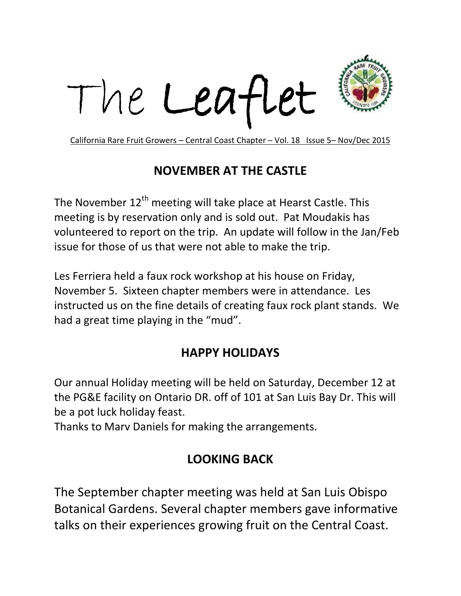

California Rare Fruit Growers – Central Coast Chapter – Vol. 18 Issue 5– Nov/Dec 2015

## **NOVEMBER AT THE CASTLE**

The November 12<sup>th</sup> meeting will take place at Hearst Castle. This meeting is by reservation only and is sold out. Pat Moudakis has volunteered to report on the trip. An update will follow in the Jan/Feb issue for those of us that were not able to make the trip.

Les Ferriera held a faux rock workshop at his house on Friday, November 5. Sixteen chapter members were in attendance. Les instructed us on the fine details of creating faux rock plant stands. We had a great time playing in the "mud".

### **HAPPY HOLIDAYS**

Our annual Holiday meeting will be held on Saturday, December 12 at the PG&E facility on Ontario DR. off of 101 at San Luis Bay Dr. This will be a pot luck holiday feast.

Thanks to Marv Daniels for making the arrangements.

# **LOOKING BACK**

The September chapter meeting was held at San Luis Obispo Botanical Gardens. Several chapter members gave informative talks on their experiences growing fruit on the Central Coast.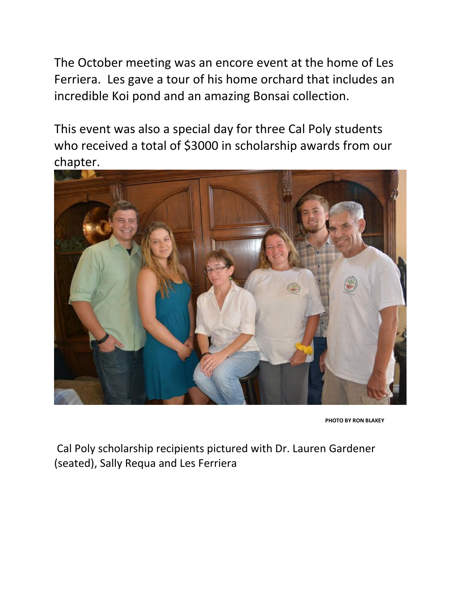The October meeting was an encore event at the home of Les Ferriera. Les gave a tour of his home orchard that includes an incredible Koi pond and an amazing Bonsai collection.

This event was also a special day for three Cal Poly students who received a total of \$3000 in scholarship awards from our chapter.



**PHOTO BY RON BLAKEY**

Cal Poly scholarship recipients pictured with Dr. Lauren Gardener (seated), Sally Requa and Les Ferriera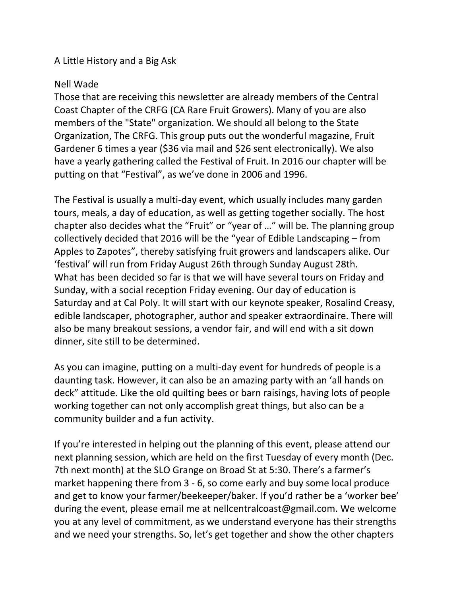#### A Little History and a Big Ask

#### Nell Wade

Those that are receiving this newsletter are already members of the Central Coast Chapter of the CRFG (CA Rare Fruit Growers). Many of you are also members of the "State" organization. We should all belong to the State Organization, The CRFG. This group puts out the wonderful magazine, Fruit Gardener 6 times a year (\$36 via mail and \$26 sent electronically). We also have a yearly gathering called the Festival of Fruit. In 2016 our chapter will be putting on that "Festival", as we've done in 2006 and 1996.

The Festival is usually a multi-day event, which usually includes many garden tours, meals, a day of education, as well as getting together socially. The host chapter also decides what the "Fruit" or "year of …" will be. The planning group collectively decided that 2016 will be the "year of Edible Landscaping – from Apples to Zapotes", thereby satisfying fruit growers and landscapers alike. Our 'festival' will run from Friday August 26th through Sunday August 28th. What has been decided so far is that we will have several tours on Friday and Sunday, with a social reception Friday evening. Our day of education is Saturday and at Cal Poly. It will start with our keynote speaker, Rosalind Creasy, edible landscaper, photographer, author and speaker extraordinaire. There will also be many breakout sessions, a vendor fair, and will end with a sit down dinner, site still to be determined.

As you can imagine, putting on a multi-day event for hundreds of people is a daunting task. However, it can also be an amazing party with an 'all hands on deck" attitude. Like the old quilting bees or barn raisings, having lots of people working together can not only accomplish great things, but also can be a community builder and a fun activity.

If you're interested in helping out the planning of this event, please attend our next planning session, which are held on the first Tuesday of every month (Dec. 7th next month) at the SLO Grange on Broad St at 5:30. There's a farmer's market happening there from 3 - 6, so come early and buy some local produce and get to know your farmer/beekeeper/baker. If you'd rather be a 'worker bee' during the event, please email me at nellcentralcoast@gmail.com. We welcome you at any level of commitment, as we understand everyone has their strengths and we need your strengths. So, let's get together and show the other chapters